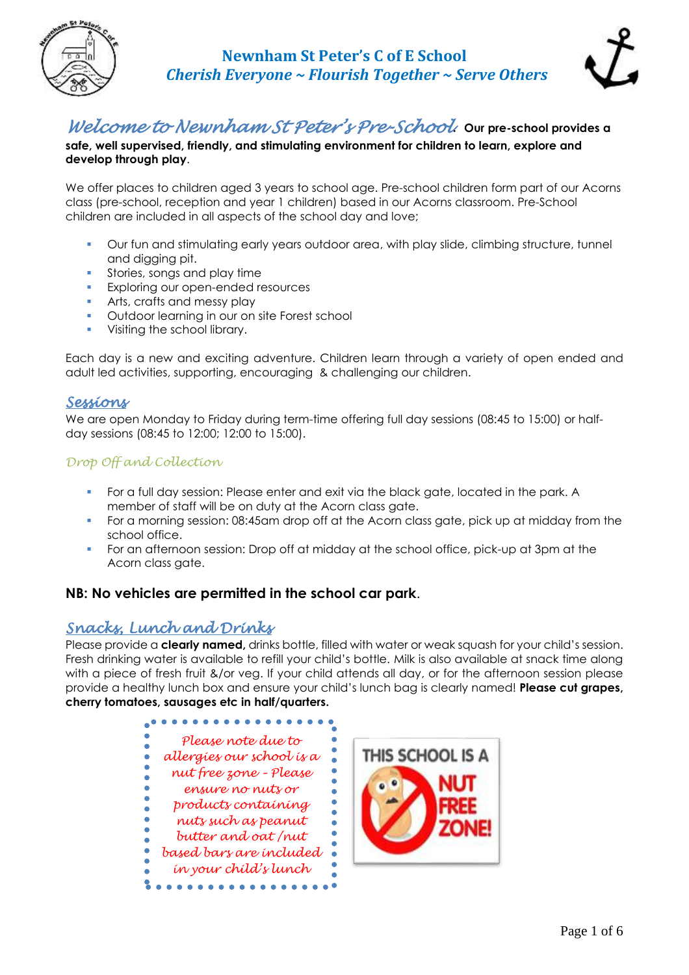



# *Welcome to Newnham St Peter's Pre-School.* **Our pre-school provides <sup>a</sup>**

**safe, well supervised, friendly, and stimulating environment for children to learn, explore and develop through play**.

We offer places to children aged 3 years to school age. Pre-school children form part of our Acorns class (pre-school, reception and year 1 children) based in our Acorns classroom. Pre-School children are included in all aspects of the school day and love;

- Our fun and stimulating early years outdoor area, with play slide, climbing structure, tunnel and digging pit.
- **•** Stories, songs and play time
- **Exploring our open-ended resources**
- **Arts, crafts and messy play**
- Outdoor learning in our on site Forest school
- **•** Visiting the school library.

Each day is a new and exciting adventure. Children learn through a variety of open ended and adult led activities, supporting, encouraging & challenging our children.

### *Sessions*

We are open Monday to Friday during term-time offering full day sessions (08:45 to 15:00) or halfday sessions (08:45 to 12:00; 12:00 to 15:00).

### *Drop Off and Collection*

- For a full day session: Please enter and exit via the black gate, located in the park. A member of staff will be on duty at the Acorn class gate.
- **•** For a morning session: 08:45am drop off at the Acorn class gate, pick up at midday from the school office.
- For an afternoon session: Drop off at midday at the school office, pick-up at 3pm at the Acorn class gate.

### **NB: No vehicles are permitted in the school car park**.

### *Snacks, Lunch and Drinks*

Please provide a **clearly named,** drinks bottle, filled with water or weak squash for your child's session. Fresh drinking water is available to refill your child's bottle. Milk is also available at snack time along with a piece of fresh fruit &/or veg. If your child attends all day, or for the afternoon session please provide a healthy lunch box and ensure your child's lunch bag is clearly named! **Please cut grapes, cherry tomatoes, sausages etc in half/quarters.**



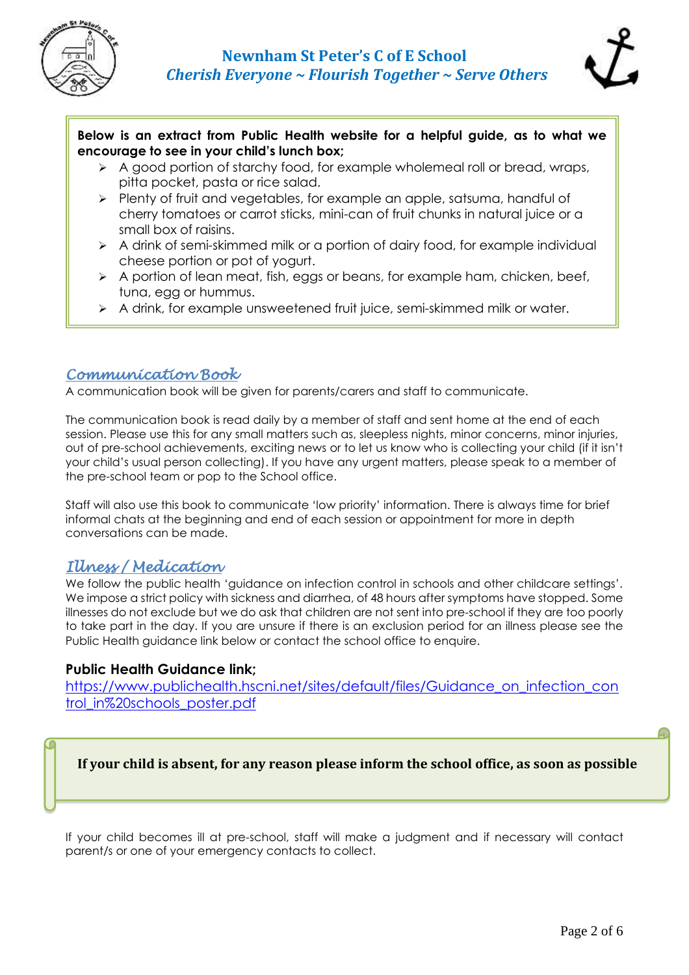



### **Below is an extract from Public Health website for a helpful guide, as to what we encourage to see in your child's lunch box; ox**

- ➢ A good portion of starchy food, for example wholemeal roll or bread, wraps, pitta pocket, pasta or rice salad.
- ➢ Plenty of fruit and vegetables, for example an apple, satsuma, handful of cherry tomatoes or carrot sticks, mini-can of fruit chunks in natural juice or a small box of raisins.
- ➢ A drink of semi-skimmed milk or a portion of dairy food, for example individual cheese portion or pot of yogurt.
- $\triangleright$  A portion of lean meat, fish, eggs or beans, for example ham, chicken, beef, tuna, egg or hummus.
- $\triangleright$  A drink, for example unsweetened fruit juice, semi-skimmed milk or water.

### *Communication Book*

A communication book will be given for parents/carers and staff to communicate.

The communication book is read daily by a member of staff and sent home at the end of each session. Please use this for any small matters such as, sleepless nights, minor concerns, minor injuries, out of pre-school achievements, exciting news or to let us know who is collecting your child (if it isn't your child's usual person collecting). If you have any urgent matters, please speak to a member of the pre-school team or pop to the School office.

Staff will also use this book to communicate 'low priority' information. There is always time for brief informal chats at the beginning and end of each session or appointment for more in depth conversations can be made.

## *Illness / Medication*

We follow the public health 'guidance on infection control in schools and other childcare settings'. We impose a strict policy with sickness and diarrhea, of 48 hours after symptoms have stopped. Some illnesses do not exclude but we do ask that children are not sent into pre-school if they are too poorly to take part in the day. If you are unsure if there is an exclusion period for an illness please see the Public Health guidance link below or contact the school office to enquire.

### **Public Health Guidance link;**

[https://www.publichealth.hscni.net/sites/default/files/Guidance\\_on\\_infection\\_con](https://www.publichealth.hscni.net/sites/default/files/Guidance_on_infection_control_in%20schools_poster.pdf) [trol\\_in%20schools\\_poster.pdf](https://www.publichealth.hscni.net/sites/default/files/Guidance_on_infection_control_in%20schools_poster.pdf)

**If your child is absent, for any reason please inform the school office, as soon as possible**

If your child becomes ill at pre-school, staff will make a judgment and if necessary will contact parent/s or one of your emergency contacts to collect.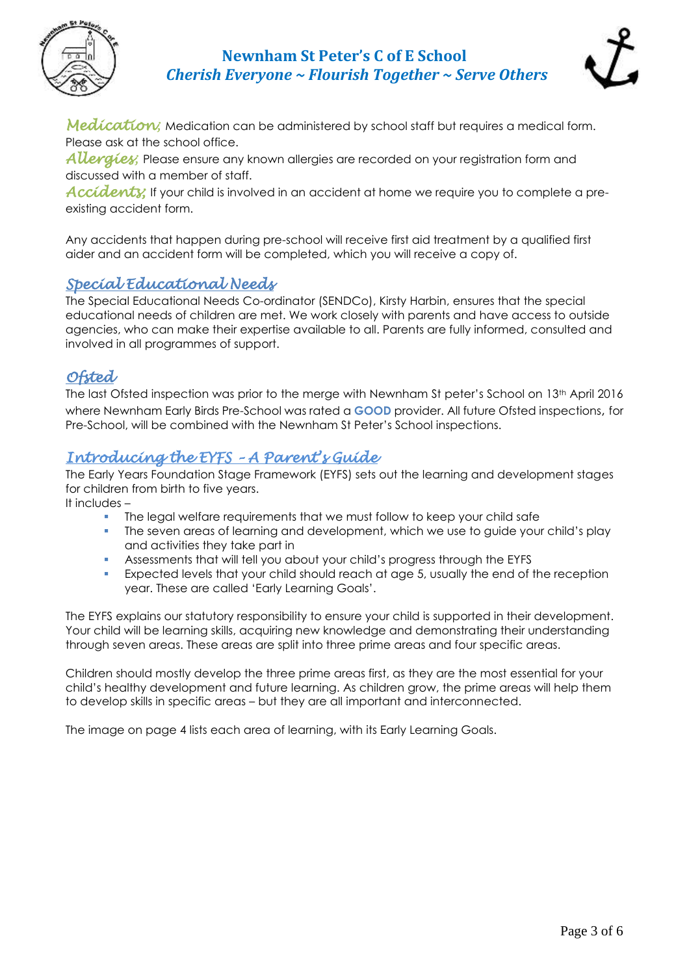

## **Newnham St Peter's C of E School**  *Cherish Everyone ~ Flourish Together ~ Serve Others*



Medication; Medication can be administered by school staff but requires a medical form. Please ask at the school office.

*Allergies;* Please ensure any known allergies are recorded on your registration form and discussed with a member of staff.

Accidenty; If your child is involved in an accident at home we require you to complete a preexisting accident form.

Any accidents that happen during pre-school will receive first aid treatment by a qualified first aider and an accident form will be completed, which you will receive a copy of.

## *Special Educational Needs*

The Special Educational Needs Co-ordinator (SENDCo), Kirsty Harbin, ensures that the special educational needs of children are met. We work closely with parents and have access to outside agencies, who can make their expertise available to all. Parents are fully informed, consulted and involved in all programmes of support.

## *Ofsted*

The last Ofsted inspection was prior to the merge with Newnham St peter's School on 13<sup>th</sup> April 2016 where Newnham Early Birds Pre-School was rated a **GOOD** provider. All future Ofsted inspections, for Pre-School, will be combined with the Newnham St Peter's School inspections.

## *Introducing the EYFS – A Parent's Guide*

The Early Years Foundation Stage Framework (EYFS) sets out the learning and development stages for children from birth to five years.

It includes –

- The legal welfare requirements that we must follow to keep your child safe
- The seven areas of learning and development, which we use to guide your child's play and activities they take part in
- Assessments that will tell you about your child's progress through the EYFS
- **EXEL** Expected levels that your child should reach at age 5, usually the end of the reception year. These are called 'Early Learning Goals'.

The EYFS explains our statutory responsibility to ensure your child is supported in their development. Your child will be learning skills, acquiring new knowledge and demonstrating their understanding through seven areas. These areas are split into three prime areas and four specific areas.

Children should mostly develop the three prime areas first, as they are the most essential for your child's healthy development and future learning. As children grow, the prime areas will help them to develop skills in specific areas – but they are all important and interconnected.

The image on page 4 lists each area of learning, with its Early Learning Goals.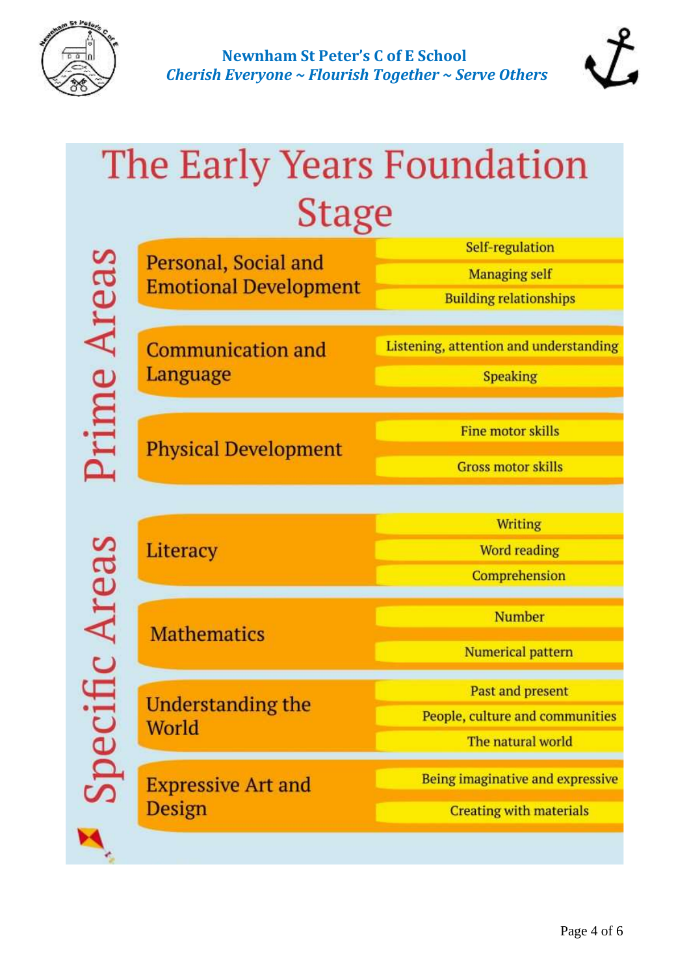



# The Early Years Foundation **Stage**

|             | Personal, Social and<br><b>Emotional Development</b> | Self-regulation                        |
|-------------|------------------------------------------------------|----------------------------------------|
|             |                                                      | <b>Managing self</b>                   |
|             |                                                      | <b>Building relationships</b>          |
|             |                                                      |                                        |
| rime Areas  | <b>Communication and</b><br>Language                 | Listening, attention and understanding |
|             |                                                      | <b>Speaking</b>                        |
|             |                                                      |                                        |
|             | <b>Physical Development</b>                          | <b>Fine motor skills</b>               |
|             |                                                      | <b>Gross motor skills</b>              |
|             |                                                      |                                        |
|             |                                                      |                                        |
| cific Areas | Literacy                                             | <b>Writing</b>                         |
|             |                                                      | <b>Word reading</b>                    |
|             |                                                      | Comprehension                          |
|             | <b>Mathematics</b>                                   | <b>Number</b>                          |
|             |                                                      |                                        |
|             |                                                      | Numerical pattern                      |
|             | Understanding the<br>World                           | Past and present                       |
|             |                                                      | People, culture and communities        |
|             |                                                      | The natural world                      |
|             | <b>Expressive Art and</b><br>Design                  | Being imaginative and expressive       |
|             |                                                      |                                        |
|             |                                                      | <b>Creating with materials</b>         |
|             |                                                      |                                        |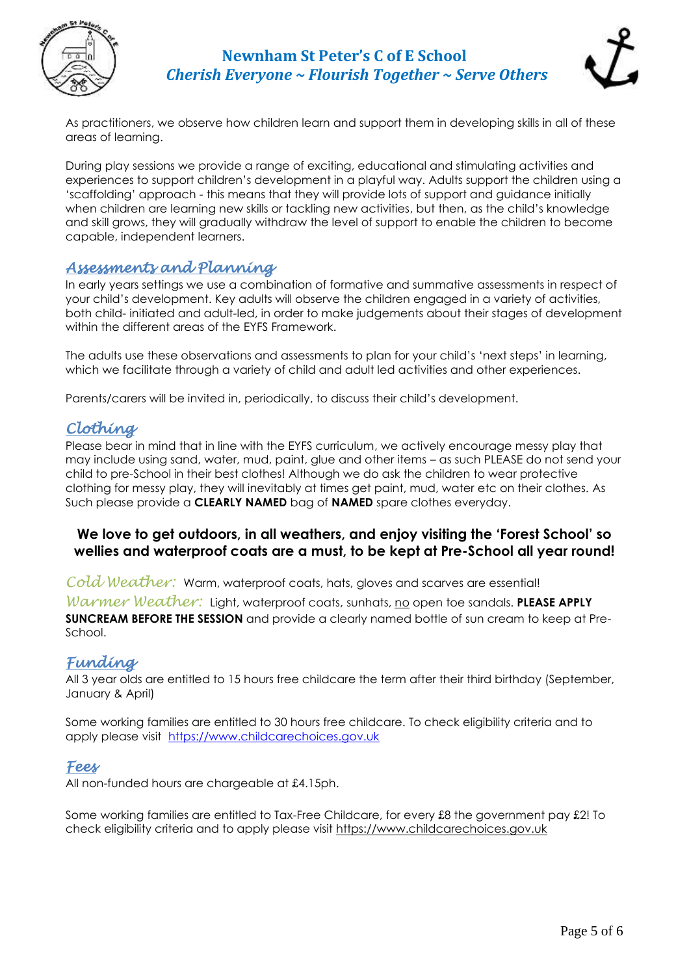

## **Newnham St Peter's C of E School**  *Cherish Everyone ~ Flourish Together ~ Serve Others*



As practitioners, we observe how children learn and support them in developing skills in all of these areas of learning.

During play sessions we provide a range of exciting, educational and stimulating activities and experiences to support children's development in a playful way. Adults support the children using a 'scaffolding' approach - this means that they will provide lots of support and guidance initially when children are learning new skills or tackling new activities, but then, as the child's knowledge and skill grows, they will gradually withdraw the level of support to enable the children to become capable, independent learners.

## *Assessments and Planning*

In early years settings we use a combination of formative and summative assessments in respect of your child's development. Key adults will observe the children engaged in a variety of activities, both child- initiated and adult-led, in order to make judgements about their stages of development within the different areas of the EYFS Framework.

The adults use these observations and assessments to plan for your child's 'next steps' in learning, which we facilitate through a variety of child and adult led activities and other experiences.

Parents/carers will be invited in, periodically, to discuss their child's development.

## *Clothing*

Please bear in mind that in line with the EYFS curriculum, we actively encourage messy play that may include using sand, water, mud, paint, glue and other items – as such PLEASE do not send your child to pre-School in their best clothes! Although we do ask the children to wear protective clothing for messy play, they will inevitably at times get paint, mud, water etc on their clothes. As Such please provide a **CLEARLY NAMED** bag of **NAMED** spare clothes everyday.

### **We love to get outdoors, in all weathers, and enjoy visiting the 'Forest School' so wellies and waterproof coats are a must, to be kept at Pre-School all year round!**

*Cold Weather:* Warm, waterproof coats, hats, gloves and scarves are essential!

*Warmer Weather:* Light, waterproof coats, sunhats, no open toe sandals. PLEASE APPLY **SUNCREAM BEFORE THE SESSION** and provide a clearly named bottle of sun cream to keep at Pre-School.

## *Funding*

All 3 year olds are entitled to 15 hours free childcare the term after their third birthday (September, January & April)

Some working families are entitled to 30 hours free childcare. To check eligibility criteria and to apply please visit [https://www.childcarechoices.gov.uk](https://www.childcarechoices.gov.uk/)

### *Fees*

All non-funded hours are chargeable at £4.15ph.

Some working families are entitled to Tax-Free Childcare, for every £8 the government pay £2! To check eligibility criteria and to apply please visit [https://www.childcarechoices.gov.uk](https://www.childcarechoices.gov.uk/)